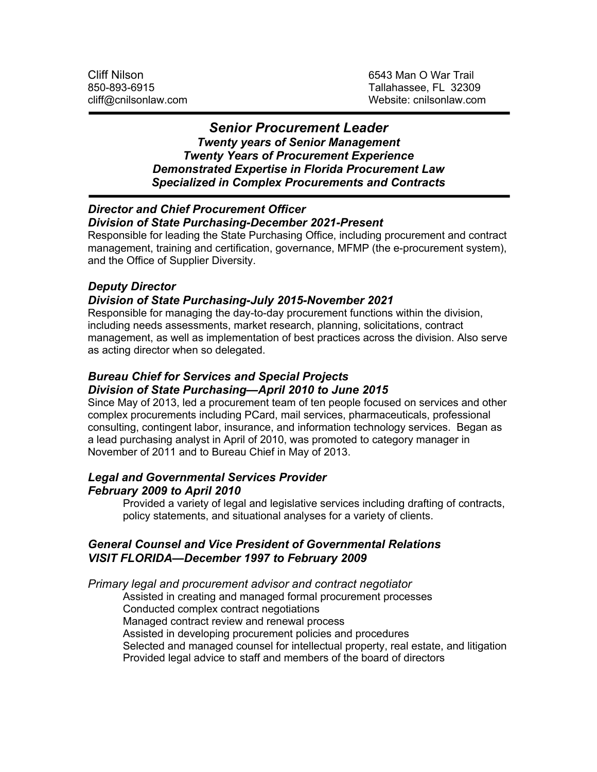## *Senior Procurement Leader*

*Twenty years of Senior Management Twenty Years of Procurement Experience Demonstrated Expertise in Florida Procurement Law Specialized in Complex Procurements and Contracts*

#### *Director and Chief Procurement Officer Division of State Purchasing-December 2021-Present*

Responsible for leading the State Purchasing Office, including procurement and contract management, training and certification, governance, MFMP (the e-procurement system), and the Office of Supplier Diversity.

# *Deputy Director*

## *Division of State Purchasing-July 2015-November 2021*

Responsible for managing the day-to-day procurement functions within the division, including needs assessments, market research, planning, solicitations, contract management, as well as implementation of best practices across the division. Also serve as acting director when so delegated.

### *Bureau Chief for Services and Special Projects Division of State Purchasing—April 2010 to June 2015*

Since May of 2013, led a procurement team of ten people focused on services and other complex procurements including PCard, mail services, pharmaceuticals, professional consulting, contingent labor, insurance, and information technology services. Began as a lead purchasing analyst in April of 2010, was promoted to category manager in November of 2011 and to Bureau Chief in May of 2013.

## *Legal and Governmental Services Provider February 2009 to April 2010*

Provided a variety of legal and legislative services including drafting of contracts, policy statements, and situational analyses for a variety of clients.

## *General Counsel and Vice President of Governmental Relations VISIT FLORIDA—December 1997 to February 2009*

*Primary legal and procurement advisor and contract negotiator*

Assisted in creating and managed formal procurement processes Conducted complex contract negotiations Managed contract review and renewal process Assisted in developing procurement policies and procedures Selected and managed counsel for intellectual property, real estate, and litigation Provided legal advice to staff and members of the board of directors